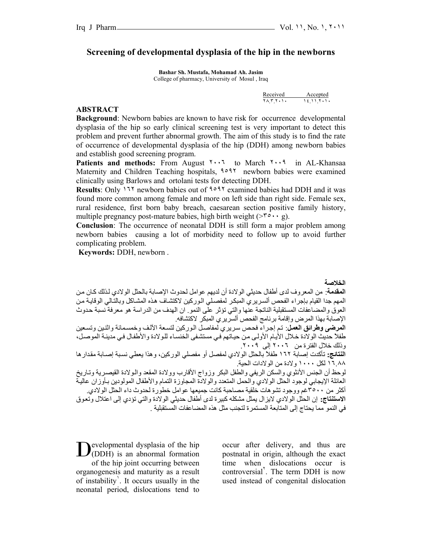## **Screening of developmental dysplasia of the hip in the newborns**

**Bashar Sh. Mustafa, Mohamad Ah. Jasim**  College of pharmacy, University of Mosul , Iraq

| Received Accepted |
|-------------------|
|                   |

#### **ABSTRACT**

**Background**: Newborn babies are known to have risk for occurrence developmental dysplasia of the hip so early clinical screening test is very important to detect this problem and prevent further abnormal growth. The aim of this study is to find the rate of occurrence of developmental dysplasia of the hip (DDH) among newborn babies and establish good screening program.

Patients and methods: From August **٢٠٠٦** to March **٢٠٠٩** in AL-Khansaa Maternity and Children Teaching hospitals, 1991 newborn babies were examined clinically using Barlows and ortolani tests for detecting DDH.

**Results**: Only ١٦٢ newborn babies out of ٩٥٩٢ examined babies had DDH and it was found more common among female and more on left side than right side. Female sex, rural residence, first born baby breach, caesarean section positive family history, multiple pregnancy post-mature babies, high birth weight ( $> r \circ \cdot \cdot$  g).

**Conclusion**: The occurrence of neonatal DDH is still form a major problem among newborn babies causing a lot of morbidity need to follow up to avoid further complicating problem.

**Keywords:** DDH, newborn .

**الخلاصة** 

**المقدمة**: من المعروف لدى أطفال حديثي الولادة أن لديهم عوامل لحدوث الإصابة بالحثل الولادي لѧذلك آѧان مѧن المهم جدا القيام بإجراء الفحص ألسريري المبكر لمفصلي الوركين لاكتشاف هذه المشاكل وبالتالي الوقايـة من العوق والمضاعفات المستقبلية الناتجة عنها والتي تؤثر على النمو. ان الهدف من الدراسة هو معرفة نسبة حѧدوث الإصابة بهذا المرض وإقامة برنامج الفحص ألسريري المبكر لاآتشافه.

**المرضى وطرائق العمل**: تم إجراء فحص سريري لمفاصل الوركين لتسعة الآلف وخمسمائة واثنين وتسعين طفلاً حديث الولادة خلال الأيـام الأولـى من حياتهم في مستشفى الخنساء للولادة والأطفال في مدينـة الموصـل، وذلك خلال الفترة من ٢٠٠٦ إلى .٢٠٠٩

**النتائج:** تأآدت إصابة ١٦٢ طفلاً بالحثل الولادي لمفصل أو مفصلي الورآين، وهذا يعطي نسѧبة إصѧابة مقѧدارها ١٦.٨٨ لكل ١٠٠٠ ولادة من الولادات الحية.

لوحظ أن الجنس الأنثوي والسكن الريفي والطفل البكر وزواج الأقارب وولادة المقعد والѧولادة القيصѧرية وتѧاريخ العائلة الإيجابي لوجود الحثل الولادي والحمل المتعدد والولادة المجاوزة التمام والأطفال المولودين بـأوزان عالية أكثر من ٣٥٠٠غم ووجود تشو هات خلقية مصاحبة كانت جميعها عوامل خطور ة لحدوث داء الحثل الو لادي. ا**لاستنتاج:** إن الحثل الولادي لايزال يمثل مشكله كبيرة لدى أطفال حديثي الولادة والتي تؤدي إلى اعتلال وتعوق في النمو مما يحتاج إلى المتابعة المستمرة لتجنب مثل هذه المضاعفات المستقبلية .

evelopmental dysplasia of the hip  $\mathbf{D}^{\text{evelopmental} }$  dysplasia of the hip (DDH) is an abnormal formation of the hip joint occurring between organogenesis and maturity as a result of instability<sup>'</sup>. It occurs usually in the neonatal period, dislocations tend to

occur after delivery, and thus are postnatal in origin, although the exact time when dislocations occur is controversial<sup>'</sup>. The term DDH is now used instead of congenital dislocation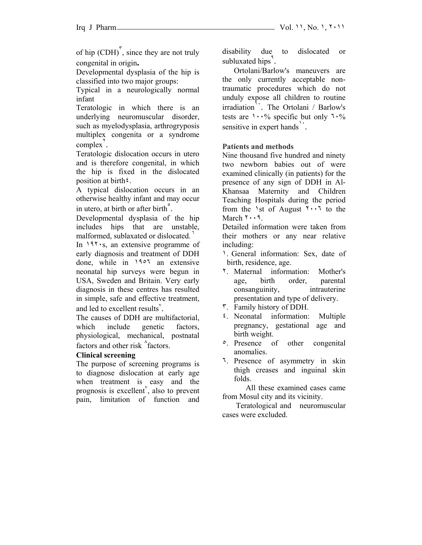of hip  $(CDH)^{r}$ , since they are not truly congenital in origin**.**

Developmental dysplasia of the hip is classified into two major groups:

Typical in a neurologically normal infant

Teratologic in which there is an underlying neuromuscular disorder, such as myelodysplasia, arthrogryposis multiplex congenita or a syndrome  $complex^{\dagger}$ .

Teratologic dislocation occurs in utero and is therefore congenital, in which the hip is fixed in the dislocated position at birth <sup>2</sup>.

A typical dislocation occurs in an otherwise healthy infant and may occur in utero, at birth or after birth $\degree$ .

Developmental dysplasia of the hip includes hips that are unstable, malformed, sublaxated or dislocated.

In ١٩٢٠s, an extensive programme of early diagnosis and treatment of DDH done, while in ١٩٥٦ an extensive neonatal hip surveys were begun in USA, Sweden and Britain. Very early diagnosis in these centres has resulted in simple, safe and effective treatment, and led to excellent results $\cdot$ .

The causes of DDH are multifactorial, which include genetic factors, physiological, mechanical, postnatal factors and other risk  $\Delta$  factors.

### **Clinical screening**

The purpose of screening programs is to diagnose dislocation at early age when treatment is easy and the prognosis is excellent<sup> $\check{y}$ </sup>, also to prevent pain, limitation of function and

disability due to dislocated or subluxated hips<sup> $\alpha$ </sup>.

 Ortolani/Barlow's maneuvers are the only currently acceptable nontraumatic procedures which do not unduly expose all children to routine irradiation<sup>1</sup>. The Ortolani / Barlow's tests are  $1 \cdot \frac{9}{6}$  specific but only  $7 \cdot \frac{9}{6}$ sensitive in expert hands<sup>1</sup>.

### **Patients and methods**

Nine thousand five hundred and ninety two newborn babies out of were examined clinically (in patients) for the presence of any sign of DDH in Al-Khansaa Maternity and Children Teaching Hospitals during the period from the 1st of August  $1 \cdot 1$  to the March ۲۰۰۹.

Detailed information were taken from their mothers or any near relative including:

- ١. General information: Sex, date of birth, residence, age.
- ٢. Maternal information: Mother's age, birth order, parental consanguinity, intrauterine presentation and type of delivery.
- ٣. Family history of DDH.
- ٤. Neonatal information: Multiple pregnancy, gestational age and birth weight.
- ٥. Presence of other congenital anomalies.
- ٦. Presence of asymmetry in skin thigh creases and inguinal skin folds.

All these examined cases came from Mosul city and its vicinity.

 Teratological and neuromuscular cases were excluded.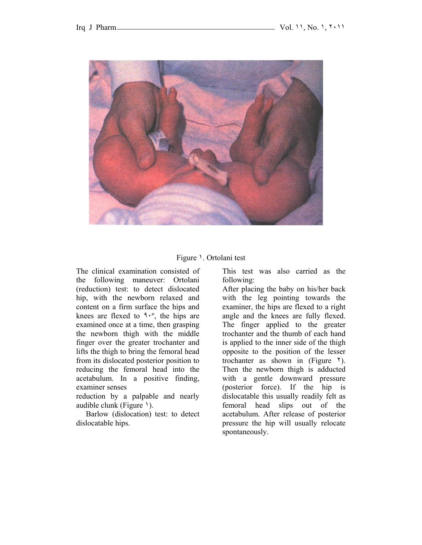

Figure 1. Ortolani test

The clinical examination consisted of the following maneuver: Ortolani (reduction) test: to detect dislocated hip, with the newborn relaxed and content on a firm surface the hips and knees are flexed to  $1.0$ , the hips are examined once at a time, then grasping the newborn thigh with the middle finger over the greater trochanter and lifts the thigh to bring the femoral head from its dislocated posterior position to reducing the femoral head into the acetabulum. In a positive finding, examiner senses

reduction by a palpable and nearly audible clunk (Figure ١).

 Barlow (dislocation) test: to detect dislocatable hips.

This test was also carried as the following:

After placing the baby on his/her back with the leg pointing towards the examiner, the hips are flexed to a right angle and the knees are fully flexed. The finger applied to the greater trochanter and the thumb of each hand is applied to the inner side of the thigh opposite to the position of the lesser trochanter as shown in (Figure  $\lambda$ ). Then the newborn thigh is adducted with a gentle downward pressure (posterior force). If the hip is dislocatable this usually readily felt as femoral head slips out of the acetabulum. After release of posterior pressure the hip will usually relocate spontaneously.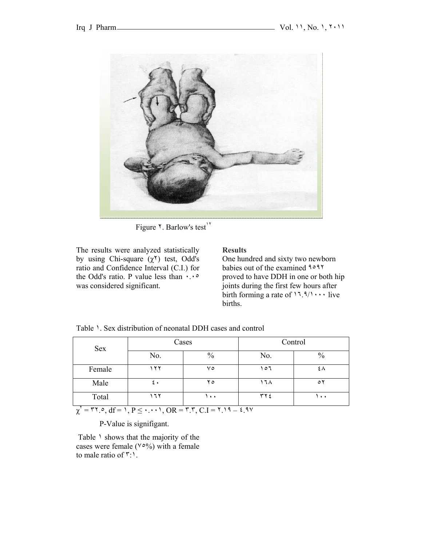

Figure <sup>1</sup>. Barlow's test<sup>11</sup>

The results were analyzed statistically by using Chi-square  $(χ<sup>γ</sup>)$  test, Odd's ratio and Confidence Interval (C.I.) for the Odd's ratio. P value less than ٠.٠٥ was considered significant.

### **Results**

One hundred and sixty two newborn babies out of the examined ٩٥٩٢ proved to have DDH in one or both hip joints during the first few hours after birth forming a rate of  $17.9/1 \cdots$  live births.

| Sex    |     | Cases |     | Control              |
|--------|-----|-------|-----|----------------------|
|        | No. | $\%$  | No. | $\%$                 |
| Female | ۲۲  | ٧٥    | 107 |                      |
| Male   | ء ج | ه ۲   | ۱٦۸ | $\circ$              |
| Total  | ٦٢  | ۰۰۱   | ۲۲٤ | $\ddot{\phantom{1}}$ |

Table 1. Sex distribution of neonatal DDH cases and control

 $\chi'$  = ٣٢.٥, df = 1, P  $\leq$   $\cdot$   $\cdot$   $\cdot$   $\cdot$   $\cdot$   $\sqrt{OR}$  =  $\sqrt{r}$ ,  $\overline{C}$ ,  $I$  =  $\sqrt{r}$ ,  $1$  =  $\sqrt{r}$ ,  $\sqrt{3}$ 

P-Value is signifigant.

Table  $\lambda$  shows that the majority of the cases were female ( $\sqrt{°}$ ) with a female to male ratio of ٣:١.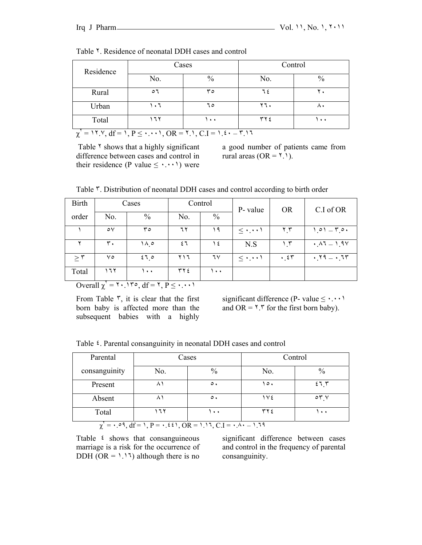| Residence |                                                                               | Cases                |            | Control              |
|-----------|-------------------------------------------------------------------------------|----------------------|------------|----------------------|
|           | $\frac{0}{0}$<br>No.                                                          |                      | No.        | $\%$                 |
| Rural     | ٥٦                                                                            | ٣٥                   | ٦٤         |                      |
| Urban     | ٦.٦                                                                           | ٦٥                   | ۲٦.        |                      |
| Total     | ۶۲ ک                                                                          | $\ddot{\phantom{1}}$ | <b>٣٢٤</b> | $\ddot{\phantom{1}}$ |
|           | $T = 11.9, df = 1, P \le \cdot \cdot \cdot 1, OR = 11, C.I = 1.5 \cdot -1.17$ |                      |            |                      |

Table <sup>Y</sup>. Residence of neonatal DDH cases and control

Table <sup> $\tau$ </sup> shows that a highly significant difference between cases and control in their residence (P value  $\leq \cdot \cdot \cdot \cdot$ ) were a good number of patients came from rural areas  $(OR = 1)$ .

|  |  |  |  | Table <sup>r</sup> . Distribution of neonatal DDH cases and control according to birth order |
|--|--|--|--|----------------------------------------------------------------------------------------------|
|--|--|--|--|----------------------------------------------------------------------------------------------|

| <b>Birth</b> |               | Cases |     | Control | P- value | <b>OR</b>                     | C.I of OR     |
|--------------|---------------|-------|-----|---------|----------|-------------------------------|---------------|
| order        | No.           | $\%$  | No. | $\%$    |          |                               |               |
|              | ٥٧            | ە۳    | ٦٢  | ۱۹      | $\leq$   | $\mathbf{y} \cdot \mathbf{r}$ | $1.01 - 1.04$ |
|              | ٣.            | ۱۸.۰  | ٤٦  | ع ۱     | N.S      | 1.5                           | $.47 - 1.9V$  |
| $\geq$ ۳     | ۷٥            | 270   | ۲۱٦ | ٦٧      | $\leq$   | $\cdot$ $55$                  | $.79 - .77$   |
| Total        | ۲ ۲ ۱         | ۱۰۰   | ۲۲٤ | ۰۰ ۱    |          |                               |               |
|              | $\sim$ $\sim$ | .     |     |         |          |                               |               |

 $\overline{\text{Overall }\chi}^r = \text{Y} \cdot \text{Y} \cdot \text{Y} \cdot \text{G} \cdot \text{G} \cdot \text{G} \cdot \text{G} \cdot \text{G} \cdot \text{G} \cdot \text{G} \cdot \text{G}$ 

From Table  $\tilde{r}$ , it is clear that the first born baby is affected more than the subsequent babies with a highly significant difference (P- value  $\leq \cdot \cdot \cdot \cdot$ ) and OR =  $\gamma \cdot$  for the first born baby).

Table ٤. Parental consanguinity in neonatal DDH cases and control

| Parental      | Cases |           |           | Control                     |
|---------------|-------|-----------|-----------|-----------------------------|
| consanguinity | No.   | $\%$      | No.       | $\%$                        |
| Present       |       | $\circ$ . | $\circ$ . | 575                         |
| Absent        |       | $\circ$ . | ١٧٤       | $\circ$ $\mathsf{r}$ $\vee$ |
| Total         | ٦٢    | $\bullet$ | ۲۲٤       | $\ddot{\phantom{1}}$        |

 $\chi^{\vee} = \cdot \cdot \circ \mathfrak{a}, \, df = \iota, \, P = \cdot \cdot \cdot \circ \iota, \, OR = \iota \cdot \iota, \, CL = \iota \cdot \iota \cdot \iota - \iota \cdot \iota \cdot \iota$ 

Ttable  $\epsilon$  shows that consanguineous marriage is a risk for the occurrence of DDH (OR =  $1.17$ ) although there is no

significant difference between cases and control in the frequency of parental consanguinity.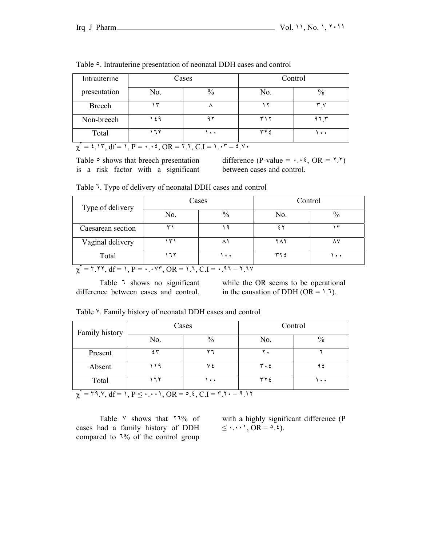| Intrauterine | Cases |                      | Control     |                      |  |
|--------------|-------|----------------------|-------------|----------------------|--|
| presentation | No.   | $\%$                 | No.         |                      |  |
| Breech       | ٣     |                      | ۰           | ٣v                   |  |
| Non-breech   | ۱٤۹   | ۹ ۲                  | ۳۱۲         | ۹٦ ٣                 |  |
| Total        | ٦٢    | $\ddot{\phantom{1}}$ | $\tau \tau$ | $\ddot{\phantom{1}}$ |  |

Table  $\circ$ . Intrauterine presentation of neonatal DDH cases and control

 $\chi^{\mathsf{T}} = \mathsf{\epsilon} \cdot \mathsf{N}^{\mathsf{T}}, \, \mathrm{d} \mathsf{f} = \mathsf{N}, \, \mathrm{P} = \cdot \cdot \cdot \mathsf{\epsilon}, \, \mathrm{OR} = \mathsf{N} \cdot \mathsf{N}, \, \mathrm{C} \cdot \mathrm{I} = \mathsf{N} \cdot \mathsf{N} = \mathsf{\epsilon} \cdot \mathsf{N} \cdot \mathsf{S}$ 

Table  $\circ$  shows that breech presentation is a risk factor with a significant

difference (P-value =  $\cdot \cdot \cdot$   $\cdot$  OR =  $\cdot \cdot \cdot$ ) between cases and control.

| Table 7. Type of delivery of neonatal DDH cases and control |  |
|-------------------------------------------------------------|--|
|-------------------------------------------------------------|--|

| Type of delivery  |     | Cases                |     | Control              |
|-------------------|-----|----------------------|-----|----------------------|
|                   | No. | $\%$                 | No. | $\frac{0}{0}$        |
| Caesarean section |     |                      |     |                      |
| Vaginal delivery  | س   |                      | ۲۸۲ |                      |
| Total             |     | $\ddot{\phantom{1}}$ | ۳۲۶ | $\ddot{\phantom{1}}$ |

 $\chi' = \text{r}$ ,  $\text{r} = 1$ ,  $\text{r} = 1$ ,  $\text{r} = 1$ ,  $\text{r} = 1$ ,  $\text{r} = 1$ ,  $\text{r} = 1$ ,  $\text{r} = 1$ ,  $\text{r} = 1$ ,  $\text{r} = 1$ ,  $\text{r} = 1$ ,  $\text{r} = 1$ ,  $\text{r} = 1$ ,  $\text{r} = 1$ ,  $\text{r} = 1$ ,  $\text{r} = 1$ ,  $\text{r} = 1$ ,  $\text{r} = 1$ ,  $\text{$ 

Table <sup>1</sup> shows no significant difference between cases and control,

while the OR seems to be operational in the causation of DDH ( $OR = 1.7$ ).

| Family history                 |                          | Cases                                     | Control                       |                      |  |
|--------------------------------|--------------------------|-------------------------------------------|-------------------------------|----------------------|--|
|                                | No.                      | $\frac{0}{0}$                             | No.                           |                      |  |
| Present                        | ٤٣                       | ۲٦                                        | ۲٠                            |                      |  |
| Absent                         | ۹ (                      |                                           | $\mathbf{r} \cdot \mathbf{r}$ |                      |  |
| Total                          | ۲ ۲                      | $\ddot{\phantom{1}}$                      | ۲۲٤                           | $\ddot{\phantom{1}}$ |  |
| $W \triangleq W \triangleq 10$ | $\sqrt{2}$<br>$\sqrt{2}$ | ں س<br>$\sim$ $\sim$ $\sim$ $\sim$ $\sim$ | $\circ$ $\circ$               |                      |  |

Table ٧. Family history of neonatal DDH cases and control

χ ٢ = ٣٩.٧, df = ١, P ≤ ٠.٠٠١, OR = ٥.٤, C.I = ٣.٢٠ – ٩.١٢

Table  $\vee$  shows that  $\vee$  7% of cases had a family history of DDH compared to ٦% of the control group

with a highly significant difference (P  $\leq$   $\cdot$  .  $\cdot$   $\cdot$   $\cdot$   $\leq$   $\cdot$   $\leq$   $\cdot$   $\leq$   $\cdot$   $\leq$   $\cdot$   $\leq$   $\cdot$   $\leq$   $\cdot$   $\leq$   $\cdot$   $\leq$   $\cdot$   $\leq$   $\cdot$   $\leq$   $\cdot$   $\leq$   $\cdot$   $\leq$   $\cdot$   $\leq$   $\cdot$   $\leq$   $\cdot$   $\leq$   $\cdot$   $\leq$   $\cdot$   $\leq$   $\cdot$   $\leq$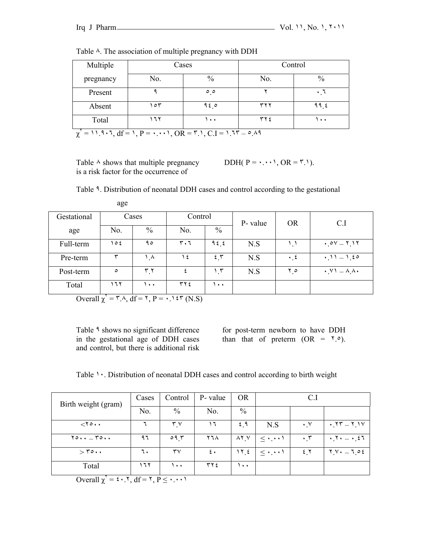| Multiple  | Cases                                                                                            |                     | Control |      |  |  |
|-----------|--------------------------------------------------------------------------------------------------|---------------------|---------|------|--|--|
| pregnancy | No.                                                                                              | $\frac{0}{0}$       | No.     | $\%$ |  |  |
| Present   |                                                                                                  | $\circ$ $\circ$     |         |      |  |  |
| Absent    | ۶۳ ه                                                                                             | ه ۹٤                | ۳۲۲     | ११ ६ |  |  |
| Total     | ۲ ۲ ۱                                                                                            | $\bullet$ $\bullet$ | ۲۲٤     | ۰.۱  |  |  |
|           | $\chi' = 11.9 \cdot 7$ , $df = 1$ , $P = \cdot \cdot \cdot 1$ , $OR = 7.1$ , $C.I = 1.77 - 0.19$ |                     |         |      |  |  |

Table  $\wedge$ . The association of multiple pregnancy with DDH

Table  $\land$  shows that multiple pregnancy is a risk factor for the occurrence of

DDH( $P = \cdot \cdot \cdot \cdot$ ), OR =  $\cdot \cdot \cdot$ ).

| Table 9. Distribution of neonatal DDH cases and control according to the gestational |  |  |  |  |
|--------------------------------------------------------------------------------------|--|--|--|--|
|                                                                                      |  |  |  |  |

|             | age       |                               |           |                     |          |                      |                                                  |
|-------------|-----------|-------------------------------|-----------|---------------------|----------|----------------------|--------------------------------------------------|
| Gestational | Cases     |                               | Control   |                     | P- value | <b>OR</b>            | C.I                                              |
| age         | No.       | $\%$                          | No.       | $\%$                |          |                      |                                                  |
| Full-term   | $\circ$ { | ۹٥                            | ۳۰٦       | 956                 | N.S      | ۱ . ۱                | $.0V - 1.1Y$                                     |
| Pre-term    | ₩         | ۸ ۱                           | $\lambda$ | 2.5                 | N.S      | $\cdot$ , $\epsilon$ | $-1.50$<br>$\cdot$ ) )                           |
| Post-term   | $\circ$   | $\mathbf{r} \cdot \mathbf{r}$ |           | , 5                 | N.S      | $\mathbf{Y}$ $\circ$ | $\cdot$ $\vee$ $\cdot$ $\wedge$ $\wedge$ $\cdot$ |
| Total       | ۲ ۲ ۱     | $\bullet$ $\bullet$           | ۲۲٤       | $\bullet$ $\bullet$ |          |                      |                                                  |

Overall  $\chi' = \Upsilon \wedge A$ , df =  $\Upsilon$ ,  $P = \cdot A$  \cdots \cdots \cdots \cdots \cdots \cdots \cdots \cdots \cdots \cdots \cdots \cdots \cdots \cdots \cdots \cdots \cdots \cdots \cdots \cdots \cdots \cdots \cdots \cdots \cdots \cd

Table <sup>9</sup> shows no significant difference in the gestational age of DDH cases and control, but there is additional risk for post-term newborn to have DDH than that of preterm  $(OR = \Upsilon. \circ).$ 

Table  $\cdot \cdot$ . Distribution of neonatal DDH cases and control according to birth weight

| Birth weight (gram)             | Cases | Control                | P- value     | <b>OR</b>         |                 | C.l              |                                                                  |
|---------------------------------|-------|------------------------|--------------|-------------------|-----------------|------------------|------------------------------------------------------------------|
|                                 | No.   | $\%$                   | No.          | $\%$              |                 |                  |                                                                  |
| $\langle \cdot, \cdot \rangle$  |       | $\mathbf{r} \times$    | ۱٦           | 2.9               | N.S             | $\cdot$ , $\vee$ | $\cdot$ , $\uparrow \uparrow$ $ \uparrow$ , $\uparrow \vee$      |
| $\gamma$ o $\Gamma$ o           | ۹٦    | 09.7                   | ۲٦۸          | $\lambda$ Y $\mu$ | $\leq$          | ۰۳               | $\cdot$ $\cdot$ $ \cdot$ $\cdot$ $\cdot$ $\cdot$ $\cdot$ $\cdot$ |
| $>$ $\mathsf{r}\circ\cdot\cdot$ | ٦.    | $\mathsf{r}\mathsf{v}$ | $\epsilon$ . | ٤ ۲۱ ۱            | $\leq$ $\cdots$ | 2.7              | <u> Y V • — J 0 ٤</u>                                            |
| Total                           | 177   | $\bullet$ $\bullet$    | ۲۲٤          | $\bullet$         |                 |                  |                                                                  |

Overall  $\chi^{\mathsf{v}} = \mathfrak{e} \cdot \mathfrak{e} \cdot \mathfrak{e} \cdot \mathfrak{f} = \mathfrak{e} \cdot \mathfrak{e} \cdot \mathfrak{e} \cdot \mathfrak{e} \cdot \mathfrak{f}$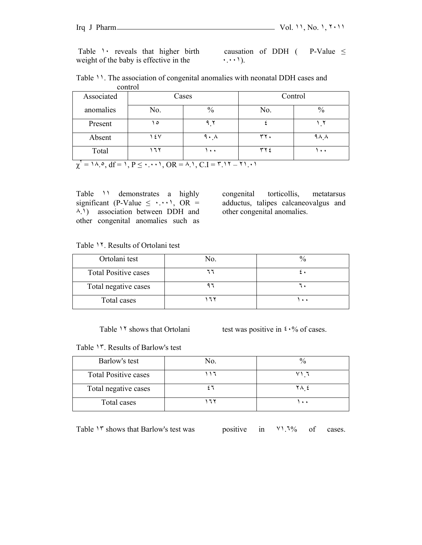Table 1 reveals that higher birth weight of the baby is effective in the

causation of DDH ( P-Value  $\leq$ ٠.٠٠١).

| comuoi     |       |                     |               |                      |  |
|------------|-------|---------------------|---------------|----------------------|--|
| Associated | Cases |                     | Control       |                      |  |
| anomalies  | No.   | $\frac{0}{0}$       | No.           | $\frac{0}{0}$        |  |
| Present    | ه ۱   | ۹ $\mathsf{r}$      |               |                      |  |
| Absent     | ۱٤٧   | $9 \cdot \Lambda$   | ٣٢.           | 9 A A                |  |
| Total      | ۶۲.   | $\bullet$ $\bullet$ | $\tau \tau$ { | $\ddot{\phantom{1}}$ |  |

|         | Table 11. The association of congenital anomalies with neonatal DDH cases and |
|---------|-------------------------------------------------------------------------------|
| control |                                                                               |

 $\chi' = 1 \wedge \circ, df = 1, P \leq \cdot \cdot \cdot 1, OR = \wedge \cdot 1, CL = r \cdot 17 - r1 \cdot 11$ 

Table ١١ demonstrates a highly significant (P-Value  $\leq$  ..., OR = ٨.١) association between DDH and other congenital anomalies such as

congenital torticollis, metatarsus adductus, talipes calcaneovalgus and other congenital anomalies.

Table ١٢. Results of Ortolani test

| Ortolani test               |          |
|-----------------------------|----------|
| <b>Total Positive cases</b> |          |
| Total negative cases        |          |
| Total cases                 | $\cdots$ |

Table 11 shows that Ortolani test was positive in  $\mathfrak{c} \cdot \mathfrak{h}$  of cases.

Table ١٣. Results of Barlow's test

| Barlow's test               | No. |              |
|-----------------------------|-----|--------------|
| <b>Total Positive cases</b> |     |              |
| Total negative cases        |     |              |
| Total cases                 |     | $\mathbf{v}$ |

Table 1<sup>r</sup> shows that Barlow's test was positive in  $\frac{10}{1\%}$  of cases.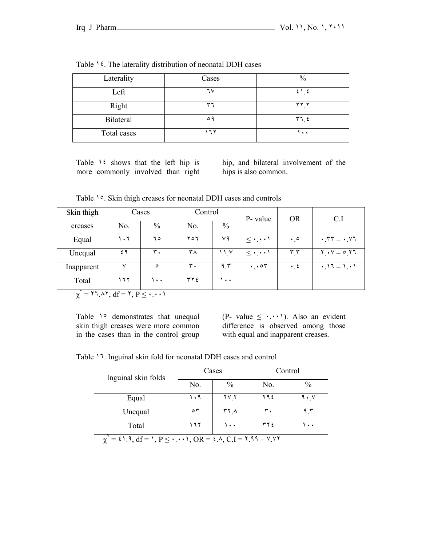| Laterality  | Cases | $\frac{0}{0}$ |
|-------------|-------|---------------|
| Left        | ٦٧    | 21.5          |
| Right       | ۳۶    | Y Y X         |
| Bilateral   | ۹ ه   | 577           |
| Total cases | ٦٢    | ۰۰۱           |

Table ١٤. The laterality distribution of neonatal DDH cases

Table 1<sup>2</sup> shows that the left hip is more commonly involved than right hip, and bilateral involvement of the hips is also common.

Table <sup>1</sup>°. Skin thigh creases for neonatal DDH cases and controls

| Skin thigh |     | Cases                | Control |      | P- value                   | <b>OR</b>                     | C.I                                                           |
|------------|-----|----------------------|---------|------|----------------------------|-------------------------------|---------------------------------------------------------------|
| creases    | No. | $\%$                 | No.     | $\%$ |                            |                               |                                                               |
| Equal      | ۱۰٦ | ٦٥                   | 207     | ٧٩   | $\leq$ $\cdot$ . $\cdot$ ) | $\cdot \cdot$                 | $\cdot$ $\mathsf{y}\mathsf{y} = \cdot$ $\mathsf{y}\mathsf{y}$ |
| Unequal    | ٤٩  | $\mathbf{r}$ .       | ۳۸      | ۱۱.۷ | $\leq$                     | $\mathbf{r} \cdot \mathbf{r}$ | $Y \cdot V = 0$ $Y1$                                          |
| Inapparent | v   | $\circ$              | ٣.      | 9.5  | $\cdot \cdot \circ \tau$   | $\cdot$ , $\epsilon$          |                                                               |
| Total      | ۱٦۲ | $\ddot{\phantom{1}}$ | ۳۲٤     | ۰۰۱  |                            |                               |                                                               |

 $\chi^{\mathsf{Y}} = \mathsf{Y} \mathsf{Y}$ ,  $\mathsf{A} \mathsf{Y}$ ,  $\mathsf{d} \mathsf{f} = \mathsf{Y}$ ,  $\mathsf{P} \leq \cdots$ 

Table 1° demonstrates that unequal skin thigh creases were more common in the cases than in the control group (P- value  $\leq \cdots$ ). Also an evident difference is observed among those with equal and inapparent creases.

Table ١٦. Inguinal skin fold for neonatal DDH cases and control

| Inguinal skin folds |           | Cases               | Control |                     |  |
|---------------------|-----------|---------------------|---------|---------------------|--|
|                     | No.       | $\frac{0}{0}$       | No.     | $\frac{0}{0}$       |  |
| Equal               | ۱۰۹       | ۲_۲۷                | ۲۹٤     | $9 \cdot y$         |  |
| Unequal             | $\circ$ ٣ | ۲۲.۸                | ٣.      | ۹۲                  |  |
| Total               | ٦٢        | $\bullet$ $\bullet$ | ۲۲٤     | $\bullet$ $\bullet$ |  |

 $\chi^{\mathsf{Y}} = \mathsf{21.1, df} = 1, P \leq \cdots$ ,  $OR = \mathsf{2.4, C.I} = \mathsf{2.14 - V.YY}$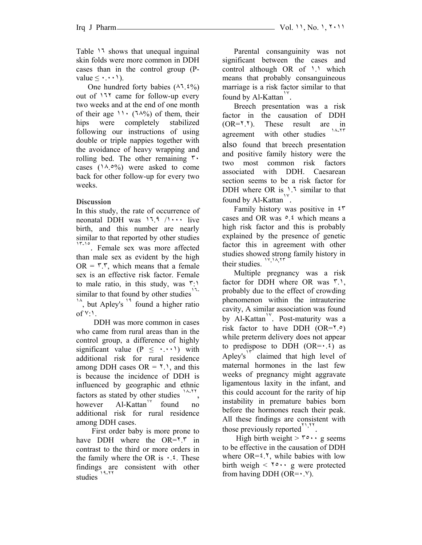Table ١٦ shows that unequal inguinal skin folds were more common in DDH cases than in the control group (Pvalue  $\leq \cdot \cdot \cdot \cdot$ ).

One hundred forty babies  $(\lambda^1, \xi^0)_0$ out of ١٦٢ came for follow-up every two weeks and at the end of one month of their age  $11 \cdot (7.1\%)$  of them, their hips were completely stabilized following our instructions of using double or triple nappies together with the avoidance of heavy wrapping and rolling bed. The other remaining  $\mathbf{\tilde{r}}$ . cases  $(14.0\%)$  were asked to come back for other follow-up for every two weeks.

# **Discussion**

In this study, the rate of occurrence of neonatal DDH was  $17.9 / 1 \cdots$  live birth, and this number are nearly similar to that reported by other studies <sup>17-16</sup>. Female sex was more affected than male sex as evident by the high  $OR = \mathcal{F} \cdot \mathcal{F}$ , which means that a female sex is an effective risk factor. Female to male ratio, in this study, was ٣:١ similar to that found by other studies $17 \frac{1}{2}$ , but Apley's  $\frac{1}{2}$  found a higher ratio  $of \vee$ :

 DDH was more common in cases who came from rural areas than in the control group, a difference of highly significant value  $(P \leq \cdots)$  with additional risk for rural residence among DDH cases  $OR = 1$ , and this is because the incidence of DDH is influenced by geographic and ethnic factors as stated by other studies <sup>١٨</sup>-<sup>٢٢</sup>, however  $AI-Kattan'$  found no additional risk for rural residence among DDH cases.

 First order baby is more prone to have DDH where the OR= $\zeta$ <sup>+</sup> in contrast to the third or more orders in the family where the OR is  $\cdot$ .<sup>2</sup>. These findings are consistent with other studies

 Parental consanguinity was not significant between the cases and control although OR of 1.1 which means that probably consanguineous marriage is a risk factor similar to that found by Al-Kattan<sup>1</sup>.

 Breech presentation was a risk factor in the causation of DDH (OR=٢.٢). These result are in agreement with other studies also found that breech presentation and positive family history were the two most common risk factors associated with DDH. Caesarean section seems to be a risk factor for DDH where OR is ١.٦ similar to that found by Al-Kattan<sup>1</sup>.

 Family history was positive in ٤٣ cases and OR was  $\circ$   $\circ$  which means a high risk factor and this is probably explained by the presence of genetic factor this in agreement with other studies showed strong family history in their studies. <sup>١٧</sup>,١٨,<sup>٢٣</sup>

 Multiple pregnancy was a risk factor for DDH where OR was ٣.١, probably due to the effect of crowding phenomenon within the intrauterine cavity, A similar association was found by Al-Kattan<sup>1v</sup>. Post-maturity was a risk factor to have DDH  $(OR = 7.0)$ while preterm delivery does not appear to predispose to DDH  $(OR = \cdot \cdot \cdot)$  as Apley's<sup> $1^{\prime}$ </sup> claimed that high level of maternal hormones in the last few weeks of pregnancy might aggravate ligamentous laxity in the infant, and this could account for the rarity of hip instability in premature babies born before the hormones reach their peak. All these findings are consistent with those previously reported $\mathbf{r}^{\prime\prime}$ ,  $\mathbf{r}^{\prime\prime}$ .

High birth weight  $>$   $\mathbf{r} \cdot \mathbf{r} \cdot \mathbf{g}$  seems to be effective in the causation of DDH where  $OR = \xi$ .  $\zeta$ , while babies with low birth weigh  $\lt \top$   $\circ \cdot \cdot$  g were protected from having DDH ( $OR = \cdot$ . $\vee$ ).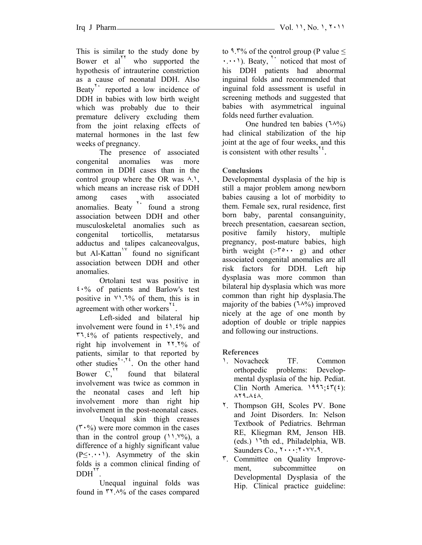This is similar to the study done by Bower et al<sup>\*\*</sup> who supported the hypothesis of intrauterine constriction as a cause of neonatal DDH. Also Beaty<sup>1</sup> reported a low incidence of DDH in babies with low birth weight which was probably due to their premature delivery excluding them from the joint relaxing effects of maternal hormones in the last few weeks of pregnancy.

The presence of associated congenital anomalies was more common in DDH cases than in the control group where the OR was  $\lambda$ . which means an increase risk of DDH among cases with associated anomalies. Beaty  $\sum_{n=1}^{\infty}$  found a strong association between DDH and other musculoskeletal anomalies such as congenital torticollis, metatarsus adductus and talipes calcaneovalgus, but Al-Kattan<sup> $1\degree$ </sup> found no significant association between DDH and other anomalies.

Ortolani test was positive in ٤٠% of patients and Barlow's test positive in  $\forall$ 1.7% of them, this is in agreement with other workers<sup>1</sup>.

Left-sided and bilateral hip involvement were found in  $\mathfrak{c}$ .  $\mathfrak{c}$ % and ٣٦.٤% of patients respectively, and right hip involvement in ٢٢.٢% of patients, similar to that reported by other studies<sup> $\sum_{n=1}^{\infty}$ </sup>. On the other hand Bower  $C<sub>1</sub><sup>17</sup>$  found that bilateral involvement was twice as common in the neonatal cases and left hip involvement more than right hip involvement in the post-neonatal cases.

Unequal skin thigh creases  $(5.8)$  were more common in the cases than in the control group  $(11.1\%)$ , a difference of a highly significant value  $(P \leq \cdot \cdot \cdot)$ . Asymmetry of the skin folds is a common clinical finding of  $DDH^{\prime\prime}$ .

Unequal inguinal folds was found in ٣٢.٨% of the cases compared to 9.7% of the control group (P value  $\leq$  $\cdots$ ). Beaty,  $\cdots$  noticed that most of his DDH patients had abnormal inguinal folds and recommended that inguinal fold assessment is useful in screening methods and suggested that babies with asymmetrical inguinal folds need further evaluation.

One hundred ten babies (٦٨%) had clinical stabilization of the hip joint at the age of four weeks, and this is consistent with other results<sup> $12$ </sup>.

# **Conclusions**

Developmental dysplasia of the hip is still a major problem among newborn babies causing a lot of morbidity to them. Female sex, rural residence, first born baby, parental consanguinity, breech presentation, caesarean section, positive family history, multiple pregnancy, post-mature babies, high birth weight  $(>\nabla \cdot \cdot \cdot g)$  and other associated congenital anomalies are all risk factors for DDH. Left hip dysplasia was more common than bilateral hip dysplasia which was more common than right hip dysplasia.The majority of the babies  $(14\%)$  improved nicely at the age of one month by adoption of double or triple nappies and following our instructions.

**References** 

- ١. Novacheck TF. Common orthopedic problems: Developmental dysplasia of the hip. Pediat. Clin North America.  $1997:57(5)$ : ٨٢٩-٨٤٨.
- ٢. Thompson GH, Scoles PV. Bone and Joint Disorders. In: Nelson Textbook of Pediatrics. Behrman RE, Kliegman RM, Jenson HB. (eds.) ١٦th ed., Philadelphia, WB. Saunders Co.,  $Y \cdot \cdot \cdot Y \cdot \cdot V$ -9.
- ٣. Committee on Quality Improvement, subcommittee on Developmental Dysplasia of the Hip. Clinical practice guideline: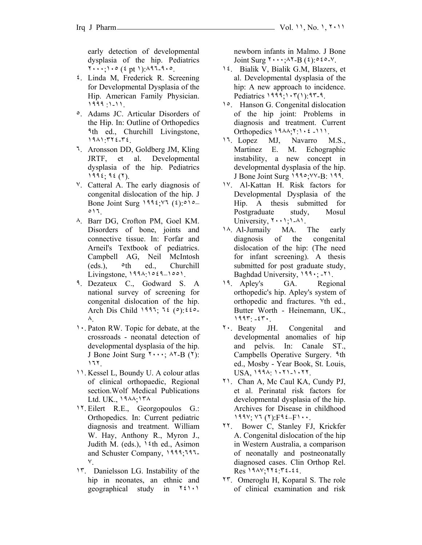early detection of developmental dysplasia of the hip. Pediatrics ٢٠٠٠;١٠٥ (٤ pt ١):٨٩٦-٩٠٥.

- ٤. Linda M, Frederick R. Screening for Developmental Dysplasia of the Hip. American Family Physician. ١٩٩٩ :١-١١.
- ٥. Adams JC. Articular Disorders of the Hip. In: Outline of Orthopedics ٩th ed., Churchill Livingstone, ١٩٨١:٣٢٤-٣٤.
- ٦. Aronsson DD, Goldberg JM, Kling JRTF, et al. Developmental dysplasia of the hip. Pediatrics ١٩٩٤; ٩٤ (٢).
- ٧. Catteral A. The early diagnosis of congenital dislocation of the hip. J Bone Joint Surg ١٩٩٤;٧٦ (٤):٥١٥– ٥١٦.
- ٨. Barr DG, Crofton PM, Goel KM. Disorders of bone, joints and connective tissue. In: Forfar and Arneil's Textbook of pediatrics. Campbell AG, Neil McIntosh  $(eds.)$ ,  $\diamond th$   $ed.,$  Churchill Livingstone, ١٩٩٨:١٥٤٩–١٥٥١.
- ٩. Dezateux C., Godward S. A national survey of screening for congenital dislocation of the hip. Arch Dis Child ١٩٩٦; ٦٤ (٥):٤٤٥- ٨.
- ١٠. Paton RW. Topic for debate, at the crossroads - neonatal detection of developmental dysplasia of the hip. J Bone Joint Surg  $\mathbf{y} \cdots$ ;  $\mathbf{y} \mathbf{z}$  ( $\mathbf{y}$ ): ١٦٢.
- ١١. Kessel L, Boundy U. A colour atlas of clinical orthopaedic, Regional section.Wolf Medical Publications Ltd. UK., ١٩٨٨;١٣٨
- ١٢. Eilert R.E., Georgopoulos G.: Orthopedics. In: Current pediatric diagnosis and treatment. William W. Hay, Anthony R., Myron J., Judith M. (eds.),  $\frac{\delta}{\delta}$ th ed., Asimon and Schuster Company, ١٩٩٩;٦٩٦- ٧.
- ١٣. Danielsson LG. Instability of the hip in neonates, an ethnic and geographical study in ٢٤١٠١

newborn infants in Malmo. J Bone Joint Surg  $\mathbf{y} \cdot \mathbf{y} \cdot \mathbf{y} = \mathbf{B}(\mathbf{x}) \cdot \mathbf{A} \cdot \mathbf{y}$ .

- ١٤. Bialik V, Bialik G.M, Blazers, et al. Developmental dysplasia of the hip: A new approach to incidence. Pediatrics ١٩٩٩;١٠٣(١):٩٣-٩.
- ١٥. Hanson G. Congenital dislocation of the hip joint: Problems in diagnosis and treatment. Current Orthopedics  $19\lambda\lambda$ ;  $11\lambda$ :  $2111$ .
- ١٦. Lopez MJ, Navarro M.S., Martinez E. M. Echographic instability, a new concept in developmental dysplasia of the hip. J Bone Joint Surg ١٩٩٥;٧٧-B: ١٩٩.
- ١٧. Al-Kattan H. Risk factors for Developmental Dysplasia of the Hip. A thesis submitted for Postgraduate study, Mosul University,  $\{\cdot\cdot\}, \cdot\cdot\}$ .
- ١٨. Al-Jumaily MA. The early diagnosis of the congenital dislocation of the hip: (The need for infant screening). A thesis submitted for post graduate study, Baghdad University, ١٩٩٠; -٢١.
- ١٩. Apley's GA. Regional orthopedic's hip. Apley's system of orthopedic and fractures. ٧th ed., Butter Worth - Heinemann, UK., ١٩٩٣: -٤٣٠.
- ٢٠. Beaty JH. Congenital and developmental anomalies of hip and pelvis. In: Canale ST., Campbells Operative Surgery. ٩th ed., Mosby - Year Book, St. Louis, USA, ١٩٩٨: ١٠٢١-١٠٢٢.
- ٢١. Chan A, Mc Caul KA, Cundy PJ, et al. Perinatal risk factors for developmental dysplasia of the hip. Archives for Disease in childhood ١٩٩٧; ٧٦ (٢):F٩٤–F١٠٠.
- ٢٢. Bower C, Stanley FJ, Krickfer A. Congenital dislocation of the hip in Western Australia, a comparison of neonatally and postneonatally diagnosed cases. Clin Orthop Rel.  $Res$   $19AY.772.7222$ .
- ٢٣. Omeroglu H, Koparal S. The role of clinical examination and risk